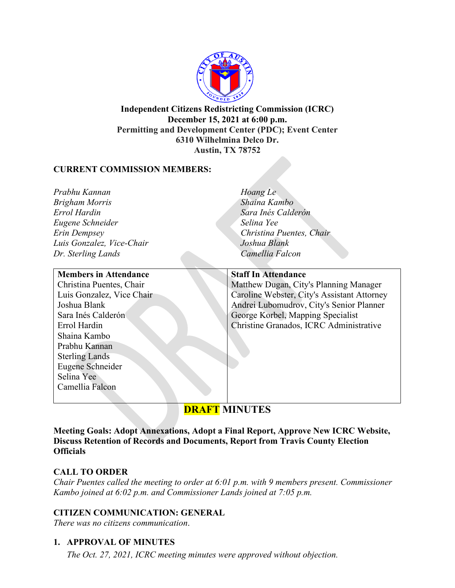

**Independent Citizens Redistricting Commission (ICRC) December 15, 2021 at 6:00 p.m. Permitting and Development Center (PDC); Event Center 6310 Wilhelmina Delco Dr. Austin, TX 78752**

#### **CURRENT COMMISSION MEMBERS:**

*Prabhu Kannan Brigham Morris Errol Hardin Eugene Schneider Erin Dempsey Luis Gonzalez, Vice-Chair Dr. Sterling Lands*

#### **Members in Attendance**

Christina Puentes, Chair Luis Gonzalez, Vice Chair Joshua Blank Sara Inés Calderón Errol Hardin Shaina Kambo Prabhu Kannan Sterling Lands Eugene Schneider Selina Yee Camellia Falcon

*Hoang Le Shaina Kambo Sara Inés Calderón Selina Yee Christina Puentes, Chair Joshua Blank Camellia Falcon*

#### **Staff In Attendance**

Matthew Dugan, City's Planning Manager Caroline Webster, City's Assistant Attorney Andrei Lubomudrov, City's Senior Planner George Korbel, Mapping Specialist Christine Granados, ICRC Administrative

# **DRAFT MINUTES**

**Meeting Goals: Adopt Annexations, Adopt a Final Report, Approve New ICRC Website, Discuss Retention of Records and Documents, Report from Travis County Election Officials**

#### **CALL TO ORDER**

*Chair Puentes called the meeting to order at 6:01 p.m. with 9 members present. Commissioner Kambo joined at 6:02 p.m. and Commissioner Lands joined at 7:05 p.m.*

#### **CITIZEN COMMUNICATION: GENERAL**

*There was no citizens communication*.

# **1. APPROVAL OF MINUTES**

*The Oct. 27, 2021, ICRC meeting minutes were approved without objection.*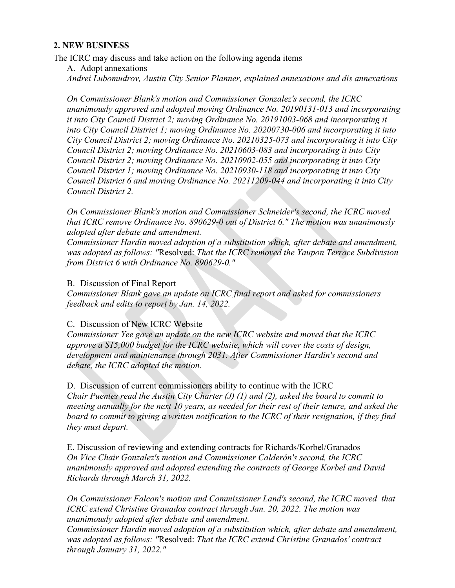#### **2. NEW BUSINESS**

The ICRC may discuss and take action on the following agenda items

A. Adopt annexations *Andrei Lubomudrov, Austin City Senior Planner, explained annexations and dis annexations*

*On Commissioner Blank's motion and Commissioner Gonzalez's second, the ICRC unanimously approved and adopted moving Ordinance No. 20190131-013 and incorporating it into City Council District 2; moving Ordinance No. 20191003-068 and incorporating it into City Council District 1; moving Ordinance No. 20200730-006 and incorporating it into City Council District 2; moving Ordinance No. 20210325-073 and incorporating it into City Council District 2; moving Ordinance No. 20210603-083 and incorporating it into City Council District 2; moving Ordinance No. 20210902-055 and incorporating it into City Council District 1; moving Ordinance No. 20210930-118 and incorporating it into City Council District 6 and moving Ordinance No. 20211209-044 and incorporating it into City Council District 2.*

*On Commissioner Blank's motion and Commissioner Schneider's second, the ICRC moved that ICRC remove Ordinance No. 890629-0 out of District 6." The motion was unanimously adopted after debate and amendment.*

*Commissioner Hardin moved adoption of a substitution which, after debate and amendment, was adopted as follows: "*Resolved: *That the ICRC removed the Yaupon Terrace Subdivision from District 6 with Ordinance No. 890629-0."*

#### B. Discussion of Final Report

*Commissioner Blank gave an update on ICRC final report and asked for commissioners feedback and edits to report by Jan. 14, 2022.*

#### C. Discussion of New ICRC Website

*Commissioner Yee gave an update on the new ICRC website and moved that the ICRC approve a \$15,000 budget for the ICRC website, which will cover the costs of design, development and maintenance through 2031. After Commissioner Hardin's second and debate, the ICRC adopted the motion.*

D. Discussion of current commissioners ability to continue with the ICRC *Chair Puentes read the Austin City Charter (J) (1) and (2), asked the board to commit to meeting annually for the next 10 years, as needed for their rest of their tenure, and asked the board to commit to giving a written notification to the ICRC of their resignation, if they find they must depart.*

E. Discussion of reviewing and extending contracts for Richards/Korbel/Granados *On Vice Chair Gonzalez's motion and Commissioner Calderón's second, the ICRC unanimously approved and adopted extending the contracts of George Korbel and David Richards through March 31, 2022.* 

*On Commissioner Falcon's motion and Commissioner Land's second, the ICRC moved that ICRC extend Christine Granados contract through Jan. 20, 2022. The motion was unanimously adopted after debate and amendment.*

*Commissioner Hardin moved adoption of a substitution which, after debate and amendment, was adopted as follows: "*Resolved: *That the ICRC extend Christine Granados' contract through January 31, 2022."*